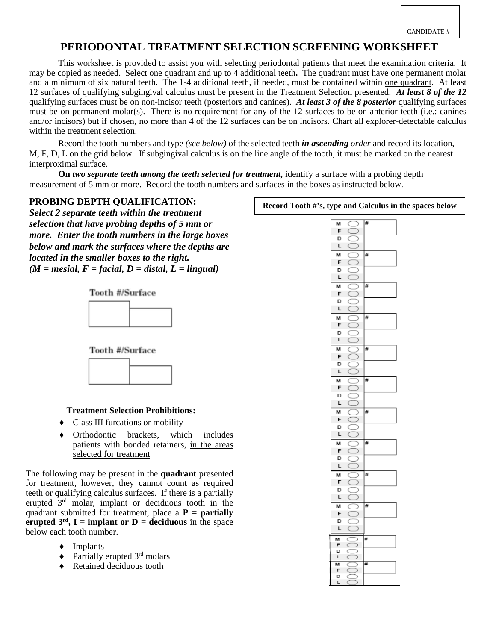# **PERIODONTAL TREATMENT SELECTION SCREENING WORKSHEET**

This worksheet is provided to assist you with selecting periodontal patients that meet the examination criteria. It may be copied as needed. Select one quadrant and up to 4 additional teeth**.** The quadrant must have one permanent molar and a minimum of six natural teeth. The 1-4 additional teeth, if needed, must be contained within one quadrant. At least 12 surfaces of qualifying subgingival calculus must be present in the Treatment Selection presented. *At least 8 of the 12* qualifying surfaces must be on non-incisor teeth (posteriors and canines). *At least 3 of the 8 posterior* qualifying surfaces must be on permanent molar(s). There is no requirement for any of the 12 surfaces to be on anterior teeth (i.e.: canines and/or incisors) but if chosen, no more than 4 of the 12 surfaces can be on incisors. Chart all explorer-detectable calculus within the treatment selection.

Record the tooth numbers and type *(see below)* of the selected teeth *in ascending order* and record its location, M, F, D, L on the grid below. If subgingival calculus is on the line angle of the tooth, it must be marked on the nearest interproximal surface.

**On** *two separate teeth among the teeth selected for treatment,* identify a surface with a probing depth measurement of 5 mm or more. Record the tooth numbers and surfaces in the boxes as instructed below.

### **PROBING DEPTH QUALIFICATION:**

*Select 2 separate teeth within the treatment selection that have probing depths of 5 mm or more. Enter the tooth numbers in the large boxes below and mark the surfaces where the depths are located in the smaller boxes to the right.*  $(M = mesial, F = facial, D = distal, L = lingual)$ 

Tooth #/Surface



Tooth #/Surface



#### **Treatment Selection Prohibitions:**

- ♦ Class III furcations or mobility
- Orthodontic brackets, which includes patients with bonded retainers, in the areas selected for treatment

The following may be present in the **quadrant** presented for treatment, however, they cannot count as required teeth or qualifying calculus surfaces. If there is a partially erupted 3rd molar, implant or deciduous tooth in the quadrant submitted for treatment, place a **P = partially erupted**  $3^{rd}$ **, I = implant or D = deciduous** in the space below each tooth number.

- ♦ Implants
- $\triangleleft$  Partially erupted 3<sup>rd</sup> molars
- ♦ Retained deciduous tooth

| М      | C<br>3                        | # |  |
|--------|-------------------------------|---|--|
| F      | C<br>3                        |   |  |
| D      | ζ                             |   |  |
| L      | ¢<br>3                        |   |  |
| м      | C<br>J                        | # |  |
| F      | Ć<br>J                        |   |  |
| D      | C<br>)                        |   |  |
| L      | C<br>J                        |   |  |
| м      | ¢<br>5                        | # |  |
| F      | ¢<br>3                        |   |  |
| D      | C<br>)                        |   |  |
| L      | ¢<br>)                        |   |  |
| м      | C<br>Č                        | # |  |
| F      | C<br>J                        |   |  |
| D      | C<br>)                        |   |  |
| L      | C<br>∋                        |   |  |
| м      | Ć<br>5                        | # |  |
| F      | C<br>5                        |   |  |
| D      | C<br>č                        |   |  |
| L      | C<br>3                        |   |  |
| м      | ¢<br>3                        | # |  |
| F      | ¢<br>5                        |   |  |
| D      | ¢                             |   |  |
| L      | C<br>5                        |   |  |
| М      | C<br>3                        | ₩ |  |
| F      | C<br>$\mathcal{E}$            |   |  |
| D      | C<br>)                        |   |  |
| L      | C<br>3                        |   |  |
| м      | Ć<br>5                        | # |  |
| F      | ¢<br>3                        |   |  |
| D      | C<br>)                        |   |  |
| L      | C<br>5                        |   |  |
| м      | ¢<br>١                        | # |  |
| F      | ¢<br>J                        |   |  |
| D      | $\overline{\phantom{a}}$<br>3 |   |  |
| L      | ¢<br>5                        |   |  |
|        |                               | # |  |
| M      | ¢<br>5                        |   |  |
| F      | ¢<br>)                        |   |  |
| D      | C<br>3                        |   |  |
| L      | C<br>)                        |   |  |
| м      | ť                             | # |  |
| F      | ť<br>J                        |   |  |
| D<br>L | č                             |   |  |
|        |                               | ¥ |  |
| M      | 3                             |   |  |
| F      | C<br>č                        |   |  |

**Record Tooth #'s, type and Calculus in the spaces below**